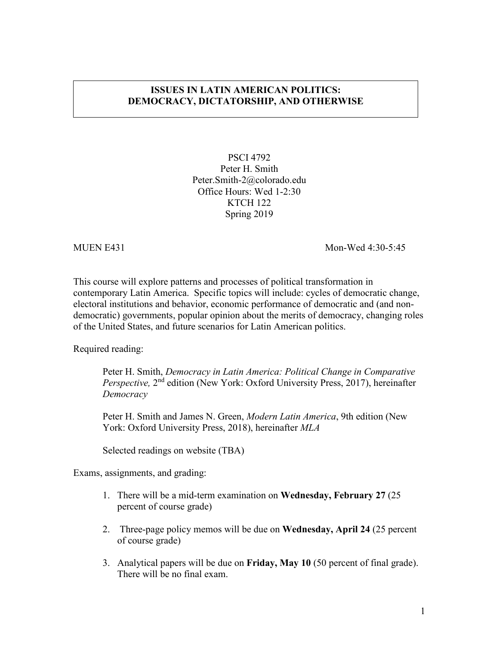# **ISSUES IN LATIN AMERICAN POLITICS: DEMOCRACY, DICTATORSHIP, AND OTHERWISE**

PSCI 4792 Peter H. Smith Peter.Smith-2@colorado.edu Office Hours: Wed 1-2:30 KTCH 122 Spring 2019

MUEN E431 Mon-Wed 4:30-5:45

This course will explore patterns and processes of political transformation in contemporary Latin America. Specific topics will include: cycles of democratic change, electoral institutions and behavior, economic performance of democratic and (and nondemocratic) governments, popular opinion about the merits of democracy, changing roles of the United States, and future scenarios for Latin American politics.

Required reading:

Peter H. Smith, *Democracy in Latin America: Political Change in Comparative Perspective,* 2<sup>nd</sup> edition (New York: Oxford University Press, 2017), hereinafter *Democracy*

Peter H. Smith and James N. Green, *Modern Latin America*, 9th edition (New York: Oxford University Press, 2018), hereinafter *MLA*

Selected readings on website (TBA)

Exams, assignments, and grading:

- 1. There will be a mid-term examination on **Wednesday, February 27** (25 percent of course grade)
- 2. Three-page policy memos will be due on **Wednesday, April 24** (25 percent of course grade)
- 3. Analytical papers will be due on **Friday, May 10** (50 percent of final grade). There will be no final exam.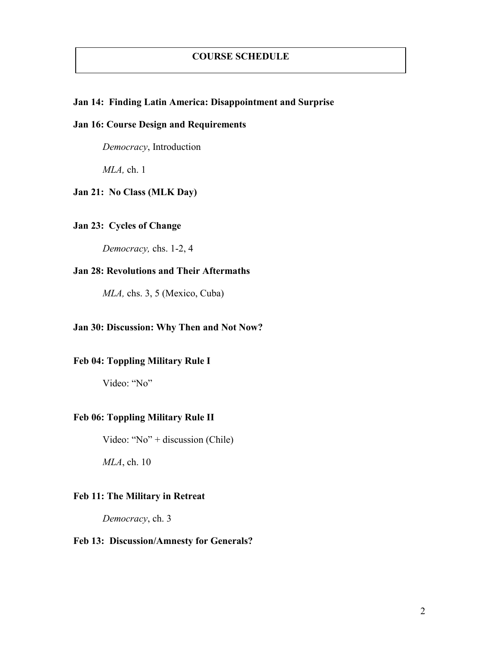## **COURSE SCHEDULE**

#### **Jan 14: Finding Latin America: Disappointment and Surprise**

# **Jan 16: Course Design and Requirements**

*Democracy*, Introduction

*MLA,* ch. 1

## **Jan 21: No Class (MLK Day)**

## **Jan 23: Cycles of Change**

*Democracy,* chs. 1-2, 4

# **Jan 28: Revolutions and Their Aftermaths**

*MLA,* chs. 3, 5 (Mexico, Cuba)

# **Jan 30: Discussion: Why Then and Not Now?**

## **Feb 04: Toppling Military Rule I**

Video: "No"

#### **Feb 06: Toppling Military Rule II**

Video: "No" + discussion (Chile)

*MLA*, ch. 10

# **Feb 11: The Military in Retreat**

*Democracy*, ch. 3

## **Feb 13: Discussion/Amnesty for Generals?**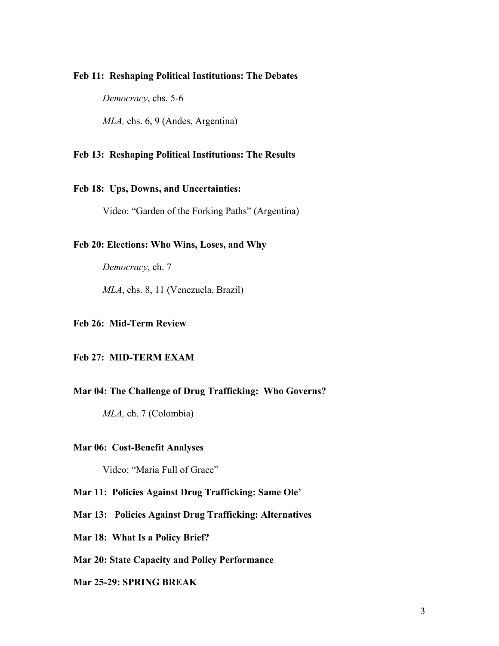#### **Feb 11: Reshaping Political Institutions: The Debates**

*Democracy*, chs. 5-6

*MLA,* chs. 6, 9 (Andes, Argentina)

## **Feb 13: Reshaping Political Institutions: The Results**

## **Feb 18: Ups, Downs, and Uncertainties:**

Video: "Garden of the Forking Paths" (Argentina)

#### **Feb 20: Elections: Who Wins, Loses, and Why**

*Democracy*, ch. 7

*MLA*, chs. 8, 11 (Venezuela, Brazil)

#### **Feb 26: Mid-Term Review**

### **Feb 27: MID-TERM EXAM**

#### **Mar 04: The Challenge of Drug Trafficking: Who Governs?**

*MLA,* ch. 7 (Colombia)

#### **Mar 06: Cost-Benefit Analyses**

Video: "Maria Full of Grace"

#### **Mar 11: Policies Against Drug Trafficking: Same Ole'**

- **Mar 13: Policies Against Drug Trafficking: Alternatives**
- **Mar 18: What Is a Policy Brief?**

#### **Mar 20: State Capacity and Policy Performance**

#### **Mar 25-29: SPRING BREAK**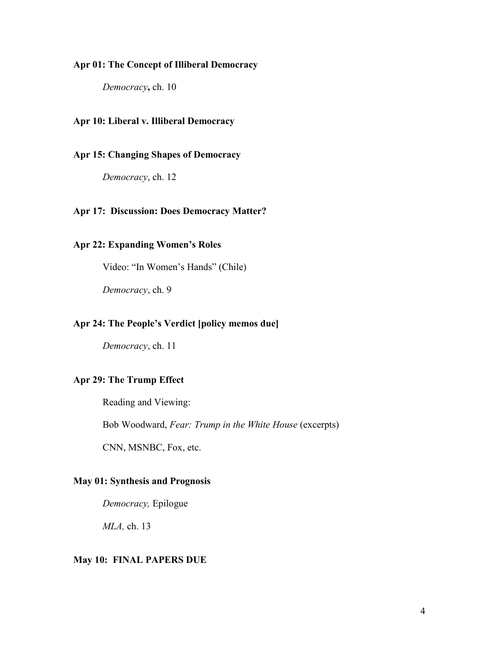## **Apr 01: The Concept of Illiberal Democracy**

*Democracy***,** ch. 10

## **Apr 10: Liberal v. Illiberal Democracy**

# **Apr 15: Changing Shapes of Democracy**

*Democracy*, ch. 12

## **Apr 17: Discussion: Does Democracy Matter?**

# **Apr 22: Expanding Women's Roles**

Video: "In Women's Hands" (Chile)

*Democracy*, ch. 9

## **Apr 24: The People's Verdict [policy memos due]**

*Democracy*, ch. 11

## **Apr 29: The Trump Effect**

Reading and Viewing:

Bob Woodward, *Fear: Trump in the White House* (excerpts)

CNN, MSNBC, Fox, etc.

## **May 01: Synthesis and Prognosis**

*Democracy,* Epilogue

*MLA,* ch. 13

#### **May 10: FINAL PAPERS DUE**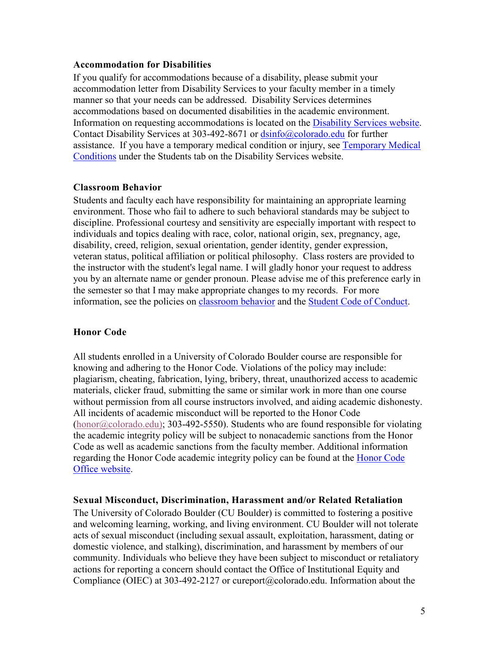## **Accommodation for Disabilities**

If you qualify for accommodations because of a disability, please submit your accommodation letter from Disability Services to your faculty member in a timely manner so that your needs can be addressed. Disability Services determines accommodations based on documented disabilities in the academic environment. Information on requesting accommodations is located on the [Disability Services website.](http://www.colorado.edu/disabilityservices/students) Contact Disability Services at 303-492-8671 or [dsinfo@colorado.edu](mailto:dsinfo@colorado.edu) for further assistance. If you have a temporary medical condition or injury, see [Temporary Medical](http://www.colorado.edu/disabilityservices/students/temporary-medical-conditions)  [Conditions](http://www.colorado.edu/disabilityservices/students/temporary-medical-conditions) under the Students tab on the Disability Services website.

## **Classroom Behavior**

Students and faculty each have responsibility for maintaining an appropriate learning environment. Those who fail to adhere to such behavioral standards may be subject to discipline. Professional courtesy and sensitivity are especially important with respect to individuals and topics dealing with race, color, national origin, sex, pregnancy, age, disability, creed, religion, sexual orientation, gender identity, gender expression, veteran status, political affiliation or political philosophy. Class rosters are provided to the instructor with the student's legal name. I will gladly honor your request to address you by an alternate name or gender pronoun. Please advise me of this preference early in the semester so that I may make appropriate changes to my records. For more information, see the policies on [classroom behavior](http://www.colorado.edu/policies/student-classroom-and-course-related-behavior) and the [Student Code of Conduct.](http://www.colorado.edu/osccr/)

## **Honor Code**

All students enrolled in a University of Colorado Boulder course are responsible for knowing and adhering to the Honor Code. Violations of the policy may include: plagiarism, cheating, fabrication, lying, bribery, threat, unauthorized access to academic materials, clicker fraud, submitting the same or similar work in more than one course without permission from all course instructors involved, and aiding academic dishonesty. All incidents of academic misconduct will be reported to the Honor Code  $(honor@colorado.edu)$ ; 303-492-5550). Students who are found responsible for violating the academic integrity policy will be subject to nonacademic sanctions from the Honor Code as well as academic sanctions from the faculty member. Additional information regarding the Honor Code academic integrity policy can be found at the [Honor Code](https://www.colorado.edu/osccr/honor-code)  [Office website.](https://www.colorado.edu/osccr/honor-code)

## **Sexual Misconduct, Discrimination, Harassment and/or Related Retaliation**

The University of Colorado Boulder (CU Boulder) is committed to fostering a positive and welcoming learning, working, and living environment. CU Boulder will not tolerate acts of sexual misconduct (including sexual assault, exploitation, harassment, dating or domestic violence, and stalking), discrimination, and harassment by members of our community. Individuals who believe they have been subject to misconduct or retaliatory actions for reporting a concern should contact the Office of Institutional Equity and Compliance (OIEC) at 303-492-2127 or cureport@colorado.edu. Information about the